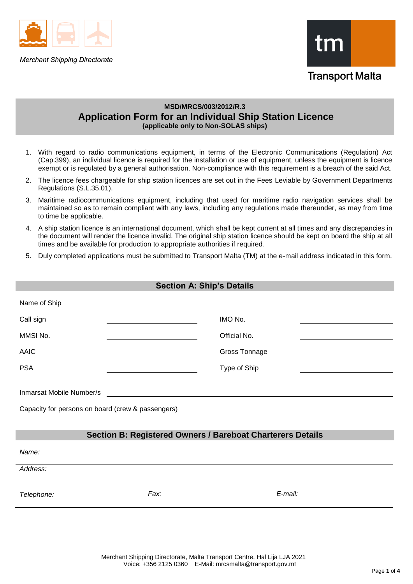

**Merchant Shipping Directorate** 



# **MSD/MRCS/003/2012/R.3 Application Form for an Individual Ship Station Licence (applicable only to Non-SOLAS ships)**

- 1. With regard to radio communications equipment, in terms of the Electronic Communications (Regulation) Act (Cap.399), an individual licence is required for the installation or use of equipment, unless the equipment is licence exempt or is regulated by a general authorisation. Non-compliance with this requirement is a breach of the said Act.
- 2. The licence fees chargeable for ship station licences are set out in the Fees Leviable by Government Departments Regulations (S.L.35.01).
- 3. Maritime radiocommunications equipment, including that used for maritime radio navigation services shall be maintained so as to remain compliant with any laws, including any regulations made thereunder, as may from time to time be applicable.
- 4. A ship station licence is an international document, which shall be kept current at all times and any discrepancies in the document will render the licence invalid. The original ship station licence should be kept on board the ship at all times and be available for production to appropriate authorities if required.
- 5. Duly completed applications must be submitted to Transport Malta (TM) at the e-mail address indicated in this form.

| <b>Section A: Ship's Details</b>                                              |      |               |  |
|-------------------------------------------------------------------------------|------|---------------|--|
| Name of Ship                                                                  |      |               |  |
| Call sign                                                                     |      | IMO No.       |  |
| MMSI No.                                                                      |      | Official No.  |  |
| <b>AAIC</b>                                                                   |      | Gross Tonnage |  |
| <b>PSA</b>                                                                    |      | Type of Ship  |  |
| Inmarsat Mobile Number/s<br>Capacity for persons on board (crew & passengers) |      |               |  |
| <b>Section B: Registered Owners / Bareboat Charterers Details</b>             |      |               |  |
| Name:                                                                         |      |               |  |
| Address:                                                                      |      |               |  |
| Telephone:                                                                    | Fax: | E-mail:       |  |
|                                                                               |      |               |  |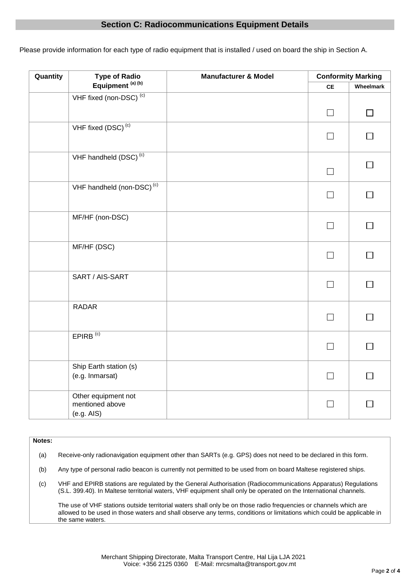# **Section C: Radiocommunications Equipment Details**

Please provide information for each type of radio equipment that is installed / used on board the ship in Section A.

| Quantity | <b>Type of Radio</b>                   | <b>Manufacturer &amp; Model</b> | <b>Conformity Marking</b> |           |
|----------|----------------------------------------|---------------------------------|---------------------------|-----------|
|          | Equipment <sup>(a)(b)</sup>            |                                 | CE                        | Wheelmark |
|          | VHF fixed (non-DSC) <sup>(c)</sup>     |                                 |                           |           |
|          |                                        |                                 | $\Box$                    | ΙI        |
|          |                                        |                                 |                           |           |
|          | VHF fixed $(DSC)^{(c)}$                |                                 |                           |           |
|          |                                        |                                 | $\Box$                    |           |
|          | VHF handheld $(DSC)^{(c)}$             |                                 |                           |           |
|          |                                        |                                 |                           | ⊓         |
|          |                                        |                                 | П                         |           |
|          | VHF handheld (non-DSC) <sup>(c)</sup>  |                                 |                           |           |
|          |                                        |                                 | П                         |           |
|          |                                        |                                 |                           |           |
|          | MF/HF (non-DSC)                        |                                 |                           |           |
|          |                                        |                                 | $\Box$                    | П         |
|          |                                        |                                 |                           |           |
|          | MF/HF (DSC)                            |                                 |                           |           |
|          |                                        |                                 | П                         | П         |
|          |                                        |                                 |                           |           |
|          | SART / AIS-SART                        |                                 | $\Box$                    | П         |
|          |                                        |                                 |                           |           |
|          | RADAR                                  |                                 |                           |           |
|          |                                        |                                 | $\Box$                    |           |
|          |                                        |                                 |                           |           |
|          | $EPIRB$ <sup>(c)</sup>                 |                                 |                           |           |
|          |                                        |                                 | $\Box$                    | ┓         |
|          |                                        |                                 |                           |           |
|          | Ship Earth station (s)                 |                                 |                           |           |
|          | (e.g. Inmarsat)                        |                                 | $\Box$                    | $\Box$    |
|          |                                        |                                 |                           |           |
|          | Other equipment not<br>mentioned above |                                 |                           | П         |
|          | (e.g. AIS)                             |                                 | $\perp$                   |           |
|          |                                        |                                 |                           |           |

### **Notes:**

(a) Receive-only radionavigation equipment other than SARTs (e.g. GPS) does not need to be declared in this form.

(b) Any type of personal radio beacon is currently not permitted to be used from on board Maltese registered ships.

(c) VHF and EPIRB stations are regulated by the General Authorisation (Radiocommunications Apparatus) Regulations [\(S.L. 399.40\)](http://www.justiceservices.gov.mt/DownloadDocument.aspx?app=lom&itemid=11475&l=1). In Maltese territorial waters, VHF equipment shall only be operated on the International channels.

The use of VHF stations outside territorial waters shall only be on those radio frequencies or channels which are allowed to be used in those waters and shall observe any terms, conditions or limitations which could be applicable in the same waters.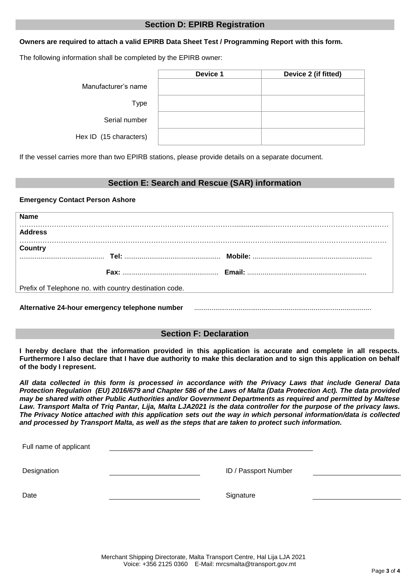## **Section D: EPIRB Registration**

## **Owners are required to attach a valid EPIRB Data Sheet Test / Programming Report with this form.**

The following information shall be completed by the EPIRB owner:

|                        | Device 1 | Device 2 (if fitted) |
|------------------------|----------|----------------------|
| Manufacturer's name    |          |                      |
| Type                   |          |                      |
| Serial number          |          |                      |
| Hex ID (15 characters) |          |                      |

If the vessel carries more than two EPIRB stations, please provide details on a separate document.

## **Section E: Search and Rescue (SAR) information**

## **Emergency Contact Person Ashore**

| <b>Name</b>                                                                                                         |  |
|---------------------------------------------------------------------------------------------------------------------|--|
| <b>Address</b>                                                                                                      |  |
| Country                                                                                                             |  |
|                                                                                                                     |  |
|                                                                                                                     |  |
| Prefix of Telephone no. with country destination code.                                                              |  |
|                                                                                                                     |  |
| Alternative 24-hour emergency telephone number material contains and alternative 24-hour emergency telephone number |  |

# **Section F: Declaration**

**I hereby declare that the information provided in this application is accurate and complete in all respects. Furthermore I also declare that I have due authority to make this declaration and to sign this application on behalf of the body I represent.** 

*All data collected in this form is processed in accordance with the Privacy Laws that include General Data Protection Regulation (EU) 2016/679 and Chapter 586 of the Laws of Malta (Data Protection Act). The data provided may be shared with other Public Authorities and/or Government Departments as required and permitted by Maltese Law. Transport Malta of Triq Pantar, Lija, Malta LJA2021 is the data controller for the purpose of the privacy laws. The Privacy Notice attached with this application sets out the way in which personal information/data is collected and processed by Transport Malta, as well as the steps that are taken to protect such information.*

| Full name of applicant |                      |  |
|------------------------|----------------------|--|
| Designation            | ID / Passport Number |  |
| Date                   | Signature            |  |